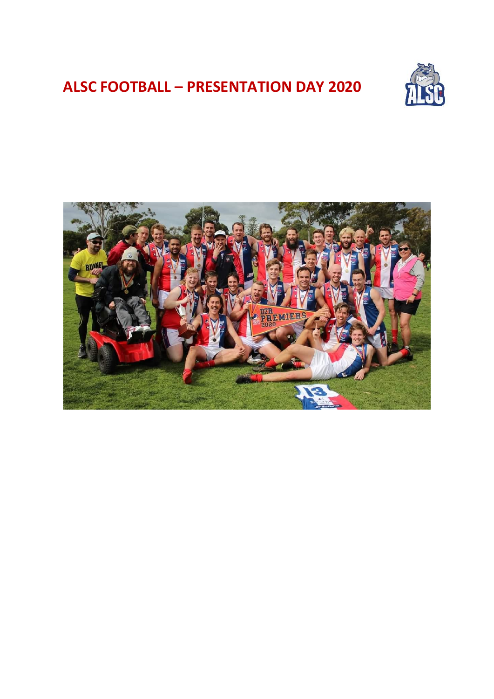# **ALSC FOOTBALL – PRESENTATION DAY 2020**



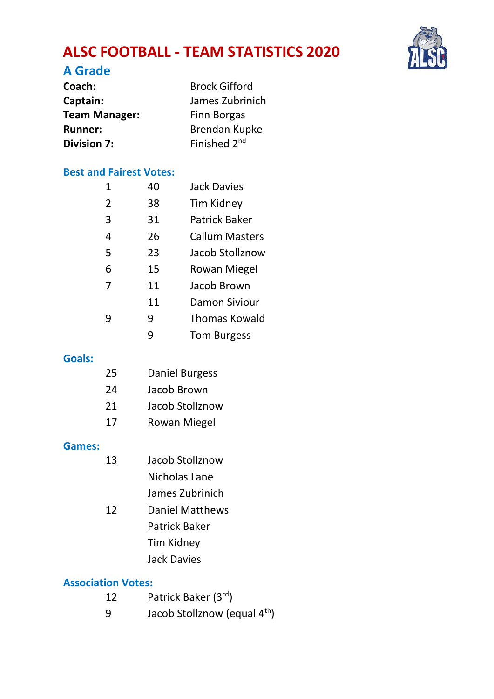# **ALSC FOOTBALL - TEAM STATISTICS 2020**



#### **A Grade**

| Coach:               | <b>Brock Gifford</b>     |
|----------------------|--------------------------|
| Captain:             | James Zubrinich          |
| <b>Team Manager:</b> | <b>Finn Borgas</b>       |
| <b>Runner:</b>       | Brendan Kupke            |
| <b>Division 7:</b>   | Finished 2 <sup>nd</sup> |

#### **Best and Fairest Votes:**

| 1              | 40 | Jack Davies        |
|----------------|----|--------------------|
| $\overline{2}$ | 38 | Tim Kidney         |
| 3              | 31 | Patrick Baker      |
| 4              | 26 | Callum Masters     |
| 5              | 23 | Jacob Stollznow    |
| 6              | 15 | Rowan Miegel       |
| 7              | 11 | Jacob Brown        |
|                | 11 | Damon Siviour      |
| q              | 9  | Thomas Kowald      |
|                | ٩  | <b>Tom Burgess</b> |

#### **Goals:**

| 25 | Daniel Burgess  |
|----|-----------------|
| 24 | Jacob Brown     |
| 21 | Jacob Stollznow |
| 17 | Rowan Miegel    |

#### **Games:**

| 13 | Jacob Stollznow |
|----|-----------------|
|    | Nicholas Lane   |
|    | .               |

- James Zubrinich
- 12 Daniel Matthews Patrick Baker
	-
	- Tim Kidney
	- Jack Davies

#### **Association Votes:**

- 12 Patrick Baker (3rd)
- 9 Jacob Stollznow (equal 4<sup>th</sup>)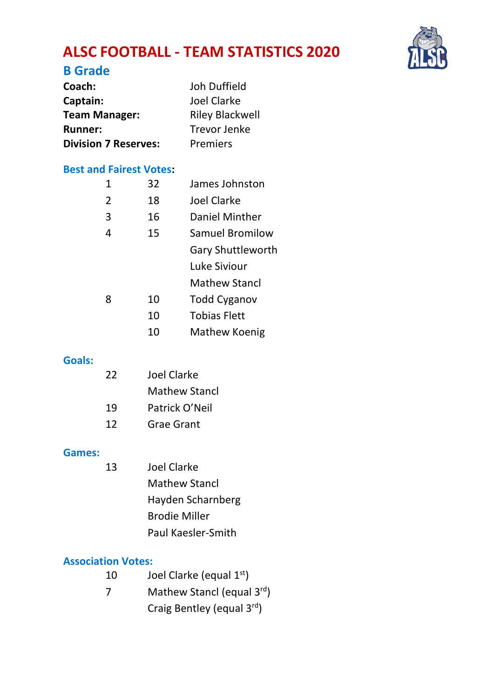# **ALSC FOOTBALL - TEAM STATISTICS 2020**



| Coach:                      | Joh Duffield    |
|-----------------------------|-----------------|
| Captain:                    | Joel Clarke     |
| <b>Team Manager:</b>        | Riley Blackwell |
| <b>Runner:</b>              | Trevor Jenke    |
| <b>Division 7 Reserves:</b> | Premiers        |

#### **Best and Fairest Votes:**

| 1              | 32 | James Johnston      |
|----------------|----|---------------------|
| $\overline{2}$ | 18 | Joel Clarke         |
| 3              | 16 | Daniel Minther      |
| 4              | 15 | Samuel Bromilow     |
|                |    | Gary Shuttleworth   |
|                |    | Luke Siviour        |
|                |    | Mathew Stancl       |
| 8              | 10 | <b>Todd Cyganov</b> |
|                | 10 | <b>Tobias Flett</b> |
|                | 10 | Mathew Koenig       |

#### **Goals:**

| 22 | Joel Clarke    |
|----|----------------|
|    | Mathew Stancl  |
| 19 | Patrick O'Neil |
| 12 | Grae Grant     |

#### **Games:**

13 Joel Clarke Mathew Stancl Hayden Scharnberg Brodie Miller Paul Kaesler-Smith

#### **Association Votes:**

- 10 Joel Clarke (equal 1<sup>st</sup>)
- 7 Mathew Stancl (equal 3rd)
	- Craig Bentley (equal 3rd)

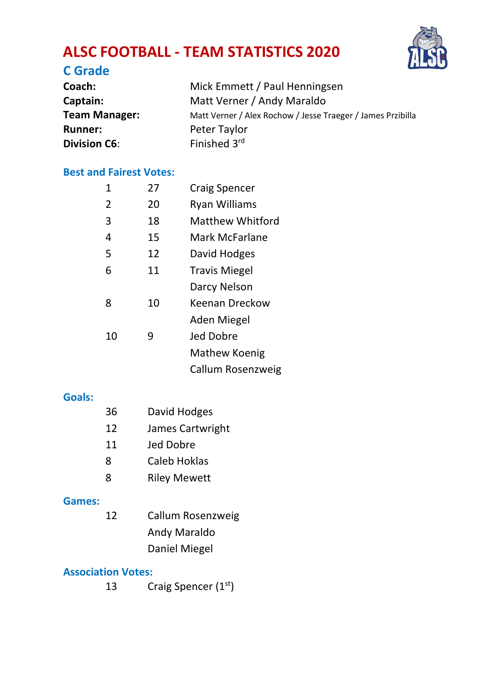# **ALSC FOOTBALL - TEAM STATISTICS 2020**



### **C Grade**

| Coach:              | Mick Emmett / Paul Henningsen                               |
|---------------------|-------------------------------------------------------------|
| Captain:            | Matt Verner / Andy Maraldo                                  |
| Team Manager:       | Matt Verner / Alex Rochow / Jesse Traeger / James Przibilla |
| <b>Runner:</b>      | Peter Taylor                                                |
| <b>Division C6:</b> | Finished 3rd                                                |

#### **Best and Fairest Votes:**

| 1             | 27 | <b>Craig Spencer</b> |
|---------------|----|----------------------|
| $\mathcal{P}$ | 20 | Ryan Williams        |
| 3             | 18 | Matthew Whitford     |
| 4             | 15 | Mark McFarlane       |
| 5             | 12 | David Hodges         |
| 6             | 11 | <b>Travis Miegel</b> |
|               |    | Darcy Nelson         |
| 8             | 10 | Keenan Dreckow       |
|               |    | Aden Miegel          |
| 10            | 9  | Jed Dobre            |
|               |    | Mathew Koenig        |
|               |    | Callum Rosenzweig    |

#### **Goals:**

| 36 | David Hodges        |
|----|---------------------|
| 12 | James Cartwright    |
| 11 | Jed Dobre           |
| 8  | Caleb Hoklas        |
| 8  | <b>Riley Mewett</b> |

#### **Games:** 12 Callum Rosenzweig Andy Maraldo Daniel Miegel

#### **Association Votes:**

13 Craig Spencer  $(1<sup>st</sup>)$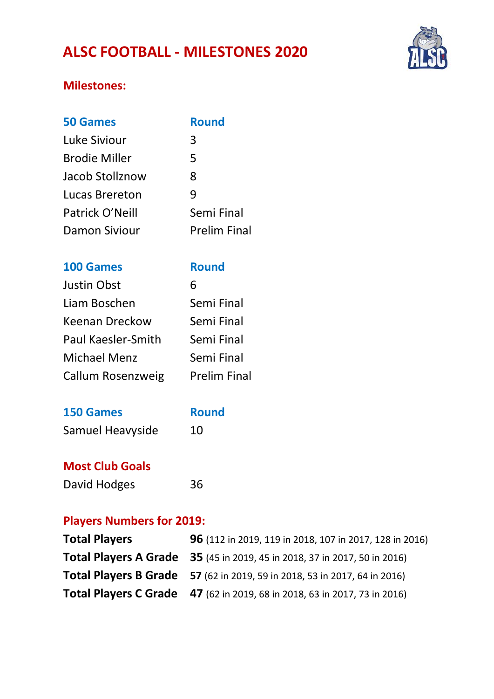## **ALSC FOOTBALL - MILESTONES 2020**



### **Milestones:**

| <b>50 Games</b> | <b>Round</b>        |
|-----------------|---------------------|
| Luke Siviour    | 3                   |
| Brodie Miller   | 5                   |
| Jacob Stollznow | 8                   |
| Lucas Brereton  | q                   |
| Patrick O'Neill | Semi Final          |
| Damon Siviour   | <b>Prelim Final</b> |

#### **100 Games Round**

| Justin Obst        | 6                   |
|--------------------|---------------------|
| Liam Boschen       | Semi Final          |
| Keenan Dreckow     | Semi Final          |
| Paul Kaesler-Smith | Semi Final          |
| Michael Menz       | Semi Final          |
| Callum Rosenzweig  | <b>Prelim Final</b> |

| <b>150 Games</b> | <b>Round</b> |
|------------------|--------------|
| Samuel Heavyside | 10           |

#### **Most Club Goals**

| David Hodges | 36 |
|--------------|----|
|--------------|----|

#### **Players Numbers for 2019:**

| <b>Total Players</b> | 96 (112 in 2019, 119 in 2018, 107 in 2017, 128 in 2016)                   |
|----------------------|---------------------------------------------------------------------------|
|                      | Total Players A Grade 35 (45 in 2019, 45 in 2018, 37 in 2017, 50 in 2016) |
|                      | Total Players B Grade 57 (62 in 2019, 59 in 2018, 53 in 2017, 64 in 2016) |
|                      | Total Players C Grade 47 (62 in 2019, 68 in 2018, 63 in 2017, 73 in 2016) |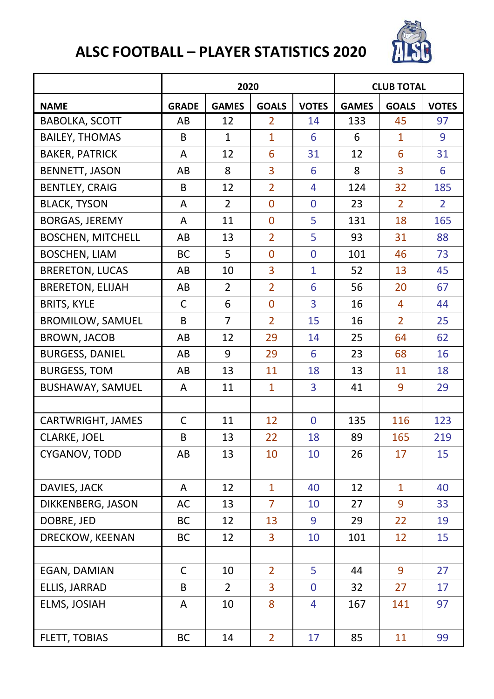

|                          |              | 2020           |                | <b>CLUB TOTAL</b> |              |                |              |
|--------------------------|--------------|----------------|----------------|-------------------|--------------|----------------|--------------|
| <b>NAME</b>              | <b>GRADE</b> | <b>GAMES</b>   | <b>GOALS</b>   | <b>VOTES</b>      | <b>GAMES</b> | <b>GOALS</b>   | <b>VOTES</b> |
| <b>BABOLKA, SCOTT</b>    | AB           | 12             | 2              | 14                | 133          | 45             | 97           |
| <b>BAILEY, THOMAS</b>    | В            | 1              | $\overline{1}$ | 6                 | 6            | 1              | 9            |
| <b>BAKER, PATRICK</b>    | A            | 12             | 6              | 31                | 12           | 6              | 31           |
| BENNETT, JASON           | AB           | 8              | 3              | 6                 | 8            | 3              | 6            |
| <b>BENTLEY, CRAIG</b>    | B            | 12             | $\overline{2}$ | 4                 | 124          | 32             | 185          |
| <b>BLACK, TYSON</b>      | Α            | $\overline{2}$ | 0              | 0                 | 23           | $\overline{2}$ | 2            |
| BORGAS, JEREMY           | A            | 11             | 0              | 5                 | 131          | 18             | 165          |
| <b>BOSCHEN, MITCHELL</b> | AB           | 13             | $\overline{2}$ | 5                 | 93           | 31             | 88           |
| <b>BOSCHEN, LIAM</b>     | ВC           | 5              | 0              | 0                 | 101          | 46             | 73           |
| <b>BRERETON, LUCAS</b>   | AB           | 10             | 3              | 1                 | 52           | 13             | 45           |
| <b>BRERETON, ELIJAH</b>  | AB           | $\overline{2}$ | $\overline{2}$ | 6                 | 56           | 20             | 67           |
| <b>BRITS, KYLE</b>       | C            | 6              | 0              | 3                 | 16           | 4              | 44           |
| <b>BROMILOW, SAMUEL</b>  | В            | $\overline{7}$ | $\overline{2}$ | 15                | 16           | $\overline{2}$ | 25           |
| <b>BROWN, JACOB</b>      | AB           | 12             | 29             | 14                | 25           | 64             | 62           |
| <b>BURGESS, DANIEL</b>   | AB           | 9              | 29             | 6                 | 23           | 68             | 16           |
| <b>BURGESS, TOM</b>      | AB           | 13             | 11             | 18                | 13           | 11             | 18           |
| BUSHAWAY, SAMUEL         | Α            | 11             | 1              | 3                 | 41           | 9              | 29           |
|                          |              |                |                |                   |              |                |              |
| CARTWRIGHT, JAMES        | C            | 11             | 12             | 0                 | 135          | 116            | 123          |
| CLARKE, JOEL             | В            | 13             | 22             | 18                | 89           | 165            | 219          |
| CYGANOV, TODD            | AB           | 13             | 10             | 10                | 26           | 17             | 15           |
|                          |              |                |                |                   |              |                |              |
| DAVIES, JACK             | A            | 12             | 1              | 40                | 12           | 1              | 40           |
| DIKKENBERG, JASON        | AC           | 13             | $\overline{7}$ | 10                | 27           | 9              | 33           |
| DOBRE, JED               | ВC           | 12             | 13             | 9                 | 29           | 22             | 19           |
| DRECKOW, KEENAN          | ВC           | 12             | 3              | 10                | 101          | 12             | 15           |
|                          |              |                |                |                   |              |                |              |
| EGAN, DAMIAN             | C            | 10             | 2              | 5                 | 44           | 9              | 27           |
| ELLIS, JARRAD            | В            | $\overline{2}$ | 3              | 0                 | 32           | 27             | 17           |
| ELMS, JOSIAH             | Α            | 10             | 8              | 4                 | 167          | 141            | 97           |
|                          |              |                |                |                   |              |                |              |
| FLETT, TOBIAS            | ВC           | 14             | $\overline{2}$ | 17                | 85           | 11             | 99           |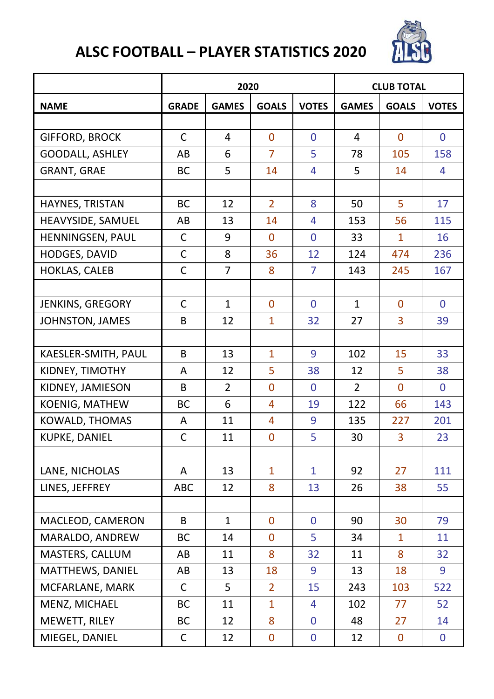

|                        |              | 2020           |                |              | <b>CLUB TOTAL</b> |              |              |  |
|------------------------|--------------|----------------|----------------|--------------|-------------------|--------------|--------------|--|
| <b>NAME</b>            | <b>GRADE</b> | <b>GAMES</b>   | <b>GOALS</b>   | <b>VOTES</b> | <b>GAMES</b>      | <b>GOALS</b> | <b>VOTES</b> |  |
|                        |              |                |                |              |                   |              |              |  |
| <b>GIFFORD, BROCK</b>  | C            | 4              | 0              | 0            | 4                 | 0            | 0            |  |
| <b>GOODALL, ASHLEY</b> | AB           | 6              | $\overline{7}$ | 5            | 78                | 105          | 158          |  |
| GRANT, GRAE            | ВC           | 5              | 14             | 4            | 5                 | 14           | 4            |  |
|                        |              |                |                |              |                   |              |              |  |
| HAYNES, TRISTAN        | ВC           | 12             | $\overline{2}$ | 8            | 50                | 5            | 17           |  |
| HEAVYSIDE, SAMUEL      | AB           | 13             | 14             | 4            | 153               | 56           | 115          |  |
| HENNINGSEN, PAUL       | C            | 9              | 0              | 0            | 33                | 1            | 16           |  |
| HODGES, DAVID          | C            | 8              | 36             | 12           | 124               | 474          | 236          |  |
| HOKLAS, CALEB          | C            | 7              | 8              | 7            | 143               | 245          | 167          |  |
|                        |              |                |                |              |                   |              |              |  |
| JENKINS, GREGORY       | C            | $\mathbf{1}$   | 0              | $\mathbf{0}$ | $\mathbf{1}$      | 0            | 0            |  |
| JOHNSTON, JAMES        | В            | 12             | 1              | 32           | 27                | 3            | 39           |  |
|                        |              |                |                |              |                   |              |              |  |
| KAESLER-SMITH, PAUL    | B            | 13             | 1              | 9            | 102               | 15           | 33           |  |
| KIDNEY, TIMOTHY        | A            | 12             | 5              | 38           | 12                | 5            | 38           |  |
| KIDNEY, JAMIESON       | В            | $\overline{2}$ | 0              | 0            | $\overline{2}$    | 0            | 0            |  |
| KOENIG, MATHEW         | ВC           | 6              | 4              | 19           | 122               | 66           | 143          |  |
| KOWALD, THOMAS         | A            | 11             | 4              | 9            | 135               | 227          | 201          |  |
| KUPKE, DANIEL          | $\mathsf{C}$ | 11             | $\mathbf{0}$   | 5            | 30                | 3            | 23           |  |
|                        |              |                |                |              |                   |              |              |  |
| LANE, NICHOLAS         | A            | 13             | 1              | $\mathbf{1}$ | 92                | 27           | 111          |  |
| LINES, JEFFREY         | ABC          | 12             | 8              | 13           | 26                | 38           | 55           |  |
|                        |              |                |                |              |                   |              |              |  |
| MACLEOD, CAMERON       | B            | 1              | $\Omega$       | $\mathbf{0}$ | 90                | 30           | 79           |  |
| MARALDO, ANDREW        | ВC           | 14             | $\mathbf{0}$   | 5            | 34                | 1            | 11           |  |
| MASTERS, CALLUM        | AB           | 11             | 8              | 32           | 11                | 8            | 32           |  |
| MATTHEWS, DANIEL       | AB           | 13             | 18             | 9            | 13                | 18           | 9            |  |
| MCFARLANE, MARK        | C            | 5              | $\overline{2}$ | 15           | 243               | 103          | 522          |  |
| MENZ, MICHAEL          | <b>BC</b>    | 11             | 1              | 4            | 102               | 77           | 52           |  |
| MEWETT, RILEY          | ВC           | 12             | 8              | 0            | 48                | 27           | 14           |  |
| MIEGEL, DANIEL         | C            | 12             | 0              | 0            | 12                | 0            | 0            |  |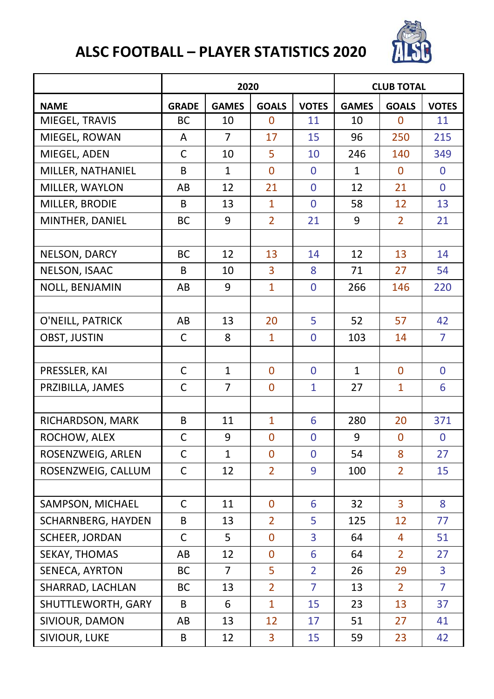

|                    |              | 2020           |                | <b>CLUB TOTAL</b> |              |                |                |
|--------------------|--------------|----------------|----------------|-------------------|--------------|----------------|----------------|
| <b>NAME</b>        | <b>GRADE</b> | <b>GAMES</b>   | <b>GOALS</b>   | <b>VOTES</b>      | <b>GAMES</b> | <b>GOALS</b>   | <b>VOTES</b>   |
| MIEGEL, TRAVIS     | BС           | 10             | 0              | 11                | 10           | 0              | 11             |
| MIEGEL, ROWAN      | Α            | 7              | 17             | 15                | 96           | 250            | 215            |
| MIEGEL, ADEN       | $\mathsf{C}$ | 10             | 5              | 10                | 246          | 140            | 349            |
| MILLER, NATHANIEL  | B            | $\mathbf{1}$   | $\mathbf 0$    | 0                 | 1            | 0              | 0              |
| MILLER, WAYLON     | AB           | 12             | 21             | 0                 | 12           | 21             | 0              |
| MILLER, BRODIE     | B            | 13             | 1              | $\overline{0}$    | 58           | 12             | 13             |
| MINTHER, DANIEL    | BС           | 9              | $\overline{2}$ | 21                | 9            | 2              | 21             |
|                    |              |                |                |                   |              |                |                |
| NELSON, DARCY      | ВC           | 12             | 13             | 14                | 12           | 13             | 14             |
| NELSON, ISAAC      | B            | 10             | 3              | 8                 | 71           | 27             | 54             |
| NOLL, BENJAMIN     | AB           | 9              | 1              | 0                 | 266          | 146            | 220            |
|                    |              |                |                |                   |              |                |                |
| O'NEILL, PATRICK   | AB           | 13             | 20             | 5                 | 52           | 57             | 42             |
| OBST, JUSTIN       | C            | 8              | $\mathbf{1}$   | 0                 | 103          | 14             | 7              |
|                    |              |                |                |                   |              |                |                |
| PRESSLER, KAI      | C            | 1              | $\mathbf 0$    | $\mathbf 0$       | 1            | 0              | 0              |
| PRZIBILLA, JAMES   | C            | 7              | 0              | 1                 | 27           | 1              | 6              |
|                    |              |                |                |                   |              |                |                |
| RICHARDSON, MARK   | B            | 11             | 1              | 6                 | 280          | 20             | 371            |
| ROCHOW, ALEX       | C            | 9              | 0              | 0                 | 9            | 0              | 0              |
| ROSENZWEIG, ARLEN  | C            | $\mathbf{1}$   | 0              | 0                 | 54           | 8              | 27             |
| ROSENZWEIG, CALLUM | C            | 12             | $\overline{2}$ | 9                 | 100          | $\overline{2}$ | 15             |
|                    |              |                |                |                   |              |                |                |
| SAMPSON, MICHAEL   | C            | 11             | 0              | 6                 | 32           | 3              | 8              |
| SCHARNBERG, HAYDEN | B            | 13             | $\overline{2}$ | 5                 | 125          | 12             | 77             |
| SCHEER, JORDAN     | C            | 5              | 0              | 3                 | 64           | 4              | 51             |
| SEKAY, THOMAS      | AB           | 12             | 0              | 6                 | 64           | 2              | 27             |
| SENECA, AYRTON     | BC           | $\overline{7}$ | 5              | $\overline{2}$    | 26           | 29             | 3              |
| SHARRAD, LACHLAN   | ВC           | 13             | $\overline{2}$ | 7                 | 13           | $\overline{2}$ | $\overline{7}$ |
| SHUTTLEWORTH, GARY | B            | 6              | $\overline{1}$ | 15                | 23           | 13             | 37             |
| SIVIOUR, DAMON     | AB           | 13             | 12             | 17                | 51           | 27             | 41             |
| SIVIOUR, LUKE      | В            | 12             | 3              | 15                | 59           | 23             | 42             |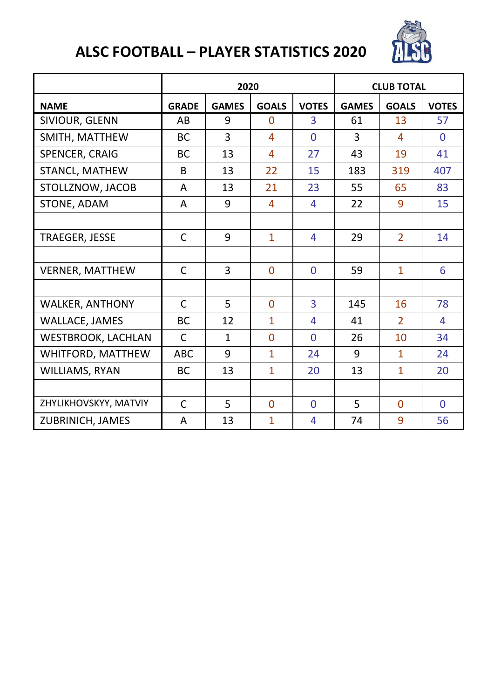

|                        |              | 2020         |              |                | <b>CLUB TOTAL</b> |                |              |  |
|------------------------|--------------|--------------|--------------|----------------|-------------------|----------------|--------------|--|
| <b>NAME</b>            | <b>GRADE</b> | <b>GAMES</b> | <b>GOALS</b> | <b>VOTES</b>   | <b>GAMES</b>      | <b>GOALS</b>   | <b>VOTES</b> |  |
| SIVIOUR, GLENN         | AB           | 9            | $\Omega$     | 3              | 61                | 13             | 57           |  |
| SMITH, MATTHEW         | ВC           | 3            | 4            | $\Omega$       | 3                 | 4              | $\Omega$     |  |
| SPENCER, CRAIG         | ВC           | 13           | 4            | 27             | 43                | 19             | 41           |  |
| STANCL, MATHEW         | <sub>B</sub> | 13           | 22           | 15             | 183               | 319            | 407          |  |
| STOLLZNOW, JACOB       | A            | 13           | 21           | 23             | 55                | 65             | 83           |  |
| STONE, ADAM            | A            | 9            | 4            | 4              | 22                | 9              | 15           |  |
|                        |              |              |              |                |                   |                |              |  |
| TRAEGER, JESSE         | C            | 9            | $\mathbf{1}$ | 4              | 29                | $\mathcal{P}$  | 14           |  |
|                        |              |              |              |                |                   |                |              |  |
| <b>VERNER, MATTHEW</b> | $\mathsf{C}$ | 3            | $\Omega$     | $\Omega$       | 59                | $\mathbf{1}$   | 6            |  |
|                        |              |              |              |                |                   |                |              |  |
| <b>WALKER, ANTHONY</b> | C            | 5            | $\Omega$     | $\overline{3}$ | 145               | 16             | 78           |  |
| WALLACE, JAMES         | ВC           | 12           | $\mathbf{1}$ | 4              | 41                | $\mathfrak{p}$ | 4            |  |
| WESTBROOK, LACHLAN     | C            | 1            | $\Omega$     | $\Omega$       | 26                | 10             | 34           |  |
| WHITFORD, MATTHEW      | <b>ABC</b>   | 9            | $\mathbf{1}$ | 24             | 9                 | 1              | 24           |  |
| WILLIAMS, RYAN         | ВC           | 13           | $\mathbf{1}$ | 20             | 13                | 1              | 20           |  |
|                        |              |              |              |                |                   |                |              |  |
| ZHYLIKHOVSKYY, MATVIY  | $\mathsf{C}$ | 5            | $\Omega$     | $\Omega$       | 5                 | $\Omega$       | $\Omega$     |  |
| ZUBRINICH, JAMES       | A            | 13           | $\mathbf{1}$ | 4              | 74                | 9              | 56           |  |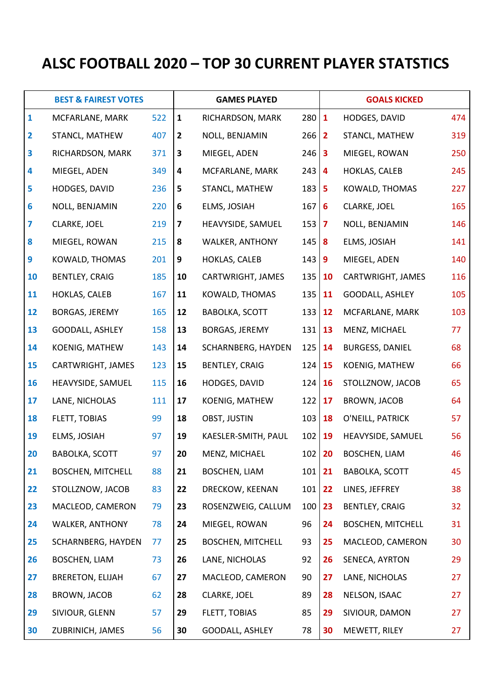# **ALSC FOOTBALL 2020 – TOP 30 CURRENT PLAYER STATSTICS**

|              | <b>BEST &amp; FAIREST VOTES</b> |     | <b>GAMES PLAYED</b> |                          |              |    | <b>GOALS KICKED</b>      |     |  |
|--------------|---------------------------------|-----|---------------------|--------------------------|--------------|----|--------------------------|-----|--|
| $\mathbf{1}$ | MCFARLANE, MARK                 | 522 | $\mathbf{1}$        | RICHARDSON, MARK         | 280 1        |    | HODGES, DAVID            | 474 |  |
| 2            | STANCL, MATHEW                  | 407 | 2                   | NOLL, BENJAMIN           | $266$   2    |    | STANCL, MATHEW           | 319 |  |
| 3            | RICHARDSON, MARK                | 371 | 3                   | MIEGEL, ADEN             | $246 \, 3$   |    | MIEGEL, ROWAN            | 250 |  |
| 4            | MIEGEL, ADEN                    | 349 | 4                   | MCFARLANE, MARK          | $243 \mid 4$ |    | HOKLAS, CALEB            | 245 |  |
| 5            | HODGES, DAVID                   | 236 | 5                   | STANCL, MATHEW           | $183$ 5      |    | KOWALD, THOMAS           | 227 |  |
| 6            | NOLL, BENJAMIN                  | 220 | 6                   | ELMS, JOSIAH             | $167$ 6      |    | CLARKE, JOEL             | 165 |  |
| 7            | CLARKE, JOEL                    | 219 | 7                   | HEAVYSIDE, SAMUEL        | $153 \mid 7$ |    | NOLL, BENJAMIN           | 146 |  |
| 8            | MIEGEL, ROWAN                   | 215 | 8                   | WALKER, ANTHONY          | $145 \, 8$   |    | ELMS, JOSIAH             | 141 |  |
| 9            | KOWALD, THOMAS                  | 201 | 9                   | HOKLAS, CALEB            | $143$ 9      |    | MIEGEL, ADEN             | 140 |  |
| 10           | <b>BENTLEY, CRAIG</b>           | 185 | 10                  | CARTWRIGHT, JAMES        | 135 10       |    | CARTWRIGHT, JAMES        | 116 |  |
| 11           | HOKLAS, CALEB                   | 167 | 11                  | KOWALD, THOMAS           | 135          | 11 | GOODALL, ASHLEY          | 105 |  |
| 12           | BORGAS, JEREMY                  | 165 | 12                  | <b>BABOLKA, SCOTT</b>    | 133          | 12 | MCFARLANE, MARK          | 103 |  |
| 13           | GOODALL, ASHLEY                 | 158 | 13                  | BORGAS, JEREMY           | 131          | 13 | MENZ, MICHAEL            | 77  |  |
| 14           | KOENIG, MATHEW                  | 143 | 14                  | SCHARNBERG, HAYDEN       | 125          | 14 | <b>BURGESS, DANIEL</b>   | 68  |  |
| 15           | CARTWRIGHT, JAMES               | 123 | 15                  | BENTLEY, CRAIG           | 124          | 15 | KOENIG, MATHEW           | 66  |  |
| 16           | HEAVYSIDE, SAMUEL               | 115 | 16                  | HODGES, DAVID            | 124          | 16 | STOLLZNOW, JACOB         | 65  |  |
| 17           | LANE, NICHOLAS                  | 111 | 17                  | KOENIG, MATHEW           | 122          | 17 | BROWN, JACOB             | 64  |  |
| 18           | FLETT, TOBIAS                   | 99  | 18                  | OBST, JUSTIN             | 103          | 18 | O'NEILL, PATRICK         | 57  |  |
| 19           | ELMS, JOSIAH                    | 97  | 19                  | KAESLER-SMITH, PAUL      | 102          | 19 | HEAVYSIDE, SAMUEL        | 56  |  |
| 20           | <b>BABOLKA, SCOTT</b>           | 97  | 20                  | MENZ, MICHAEL            | 102          | 20 | BOSCHEN, LIAM            | 46  |  |
| 21           | <b>BOSCHEN, MITCHELL</b>        | 88  | 21                  | BOSCHEN, LIAM            | 101          | 21 | BABOLKA, SCOTT           | 45  |  |
| 22           | STOLLZNOW, JACOB                | 83  | 22                  | DRECKOW, KEENAN          | 101          | 22 | LINES, JEFFREY           | 38  |  |
| 23           | MACLEOD, CAMERON                | 79  | 23                  | ROSENZWEIG, CALLUM       | 100          | 23 | BENTLEY, CRAIG           | 32  |  |
| 24           | WALKER, ANTHONY                 | 78  | 24                  | MIEGEL, ROWAN            | 96           | 24 | <b>BOSCHEN, MITCHELL</b> | 31  |  |
| 25           | SCHARNBERG, HAYDEN              | 77  | 25                  | <b>BOSCHEN, MITCHELL</b> | 93           | 25 | MACLEOD, CAMERON         | 30  |  |
| 26           | BOSCHEN, LIAM                   | 73  | 26                  | LANE, NICHOLAS           | 92           | 26 | SENECA, AYRTON           | 29  |  |
| 27           | <b>BRERETON, ELIJAH</b>         | 67  | 27                  | MACLEOD, CAMERON         | 90           | 27 | LANE, NICHOLAS           | 27  |  |
| 28           | BROWN, JACOB                    | 62  | 28                  | CLARKE, JOEL             | 89           | 28 | NELSON, ISAAC            | 27  |  |
| 29           | SIVIOUR, GLENN                  | 57  | 29                  | FLETT, TOBIAS            | 85           | 29 | SIVIOUR, DAMON           | 27  |  |
| 30           | ZUBRINICH, JAMES                | 56  | 30                  | GOODALL, ASHLEY          | 78           | 30 | MEWETT, RILEY            | 27  |  |